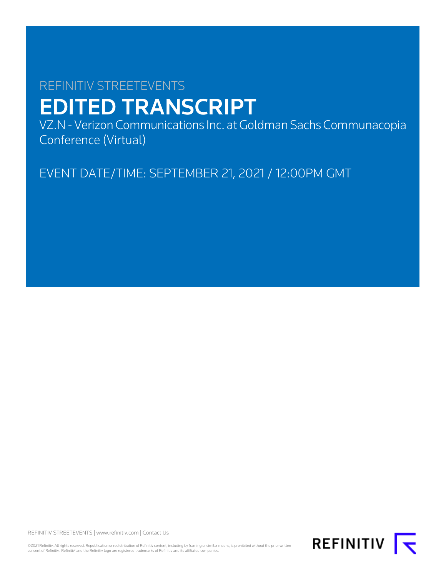# REFINITIV STREETEVENTS EDITED TRANSCRIPT

VZ.N - Verizon Communications Inc. at Goldman Sachs Communacopia Conference (Virtual)

EVENT DATE/TIME: SEPTEMBER 21, 2021 / 12:00PM GMT

REFINITIV STREETEVENTS | [www.refinitiv.com](https://www.refinitiv.com/) | [Contact Us](https://www.refinitiv.com/en/contact-us)

©2021 Refinitiv. All rights reserved. Republication or redistribution of Refinitiv content, including by framing or similar means, is prohibited without the prior written consent of Refinitiv. 'Refinitiv' and the Refinitiv logo are registered trademarks of Refinitiv and its affiliated companies.

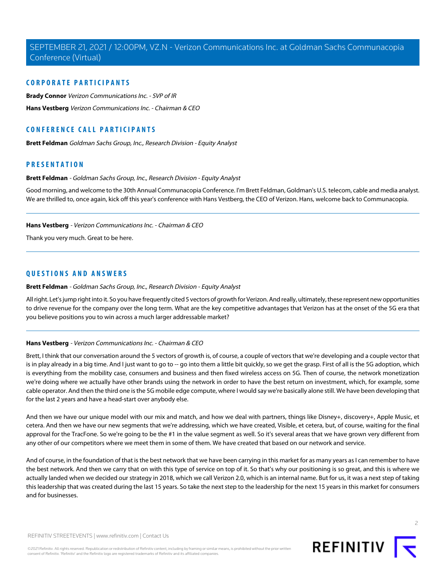# **CORPORATE PARTICIPANTS**

**[Brady Connor](#page-5-0)** Verizon Communications Inc. - SVP of IR **[Hans Vestberg](#page-1-0)** Verizon Communications Inc. - Chairman & CEO

# **CONFERENCE CALL PARTICIPANTS**

**[Brett Feldman](#page-1-1)** Goldman Sachs Group, Inc., Research Division - Equity Analyst

# <span id="page-1-1"></span>**PRESENTATION**

#### **Brett Feldman** - Goldman Sachs Group, Inc., Research Division - Equity Analyst

<span id="page-1-0"></span>Good morning, and welcome to the 30th Annual Communacopia Conference. I'm Brett Feldman, Goldman's U.S. telecom, cable and media analyst. We are thrilled to, once again, kick off this year's conference with Hans Vestberg, the CEO of Verizon. Hans, welcome back to Communacopia.

#### **Hans Vestberg** - Verizon Communications Inc. - Chairman & CEO

Thank you very much. Great to be here.

# **QUESTIONS AND ANSWERS**

#### **Brett Feldman** - Goldman Sachs Group, Inc., Research Division - Equity Analyst

All right. Let's jump right into it. So you have frequently cited 5 vectors of growth for Verizon. And really, ultimately, these represent new opportunities to drive revenue for the company over the long term. What are the key competitive advantages that Verizon has at the onset of the 5G era that you believe positions you to win across a much larger addressable market?

# **Hans Vestberg** - Verizon Communications Inc. - Chairman & CEO

Brett, I think that our conversation around the 5 vectors of growth is, of course, a couple of vectors that we're developing and a couple vector that is in play already in a big time. And I just want to go to -- go into them a little bit quickly, so we get the grasp. First of all is the 5G adoption, which is everything from the mobility case, consumers and business and then fixed wireless access on 5G. Then of course, the network monetization we're doing where we actually have other brands using the network in order to have the best return on investment, which, for example, some cable operator. And then the third one is the 5G mobile edge compute, where I would say we're basically alone still. We have been developing that for the last 2 years and have a head-start over anybody else.

And then we have our unique model with our mix and match, and how we deal with partners, things like Disney+, discovery+, Apple Music, et cetera. And then we have our new segments that we're addressing, which we have created, Visible, et cetera, but, of course, waiting for the final approval for the TracFone. So we're going to be the #1 in the value segment as well. So it's several areas that we have grown very different from any other of our competitors where we meet them in some of them. We have created that based on our network and service.

And of course, in the foundation of that is the best network that we have been carrying in this market for as many years as I can remember to have the best network. And then we carry that on with this type of service on top of it. So that's why our positioning is so great, and this is where we actually landed when we decided our strategy in 2018, which we call Verizon 2.0, which is an internal name. But for us, it was a next step of taking this leadership that was created during the last 15 years. So take the next step to the leadership for the next 15 years in this market for consumers and for businesses.



 $\overline{2}$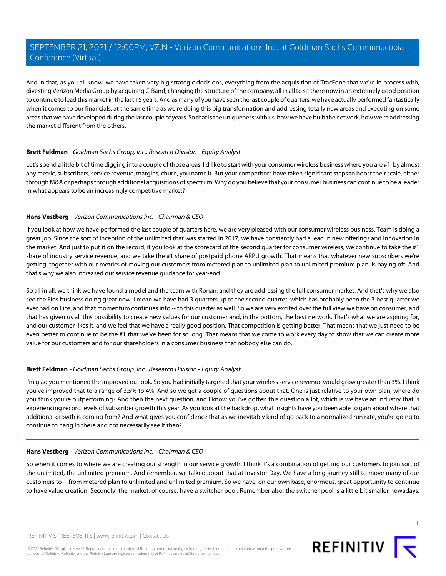And in that, as you all know, we have taken very big strategic decisions, everything from the acquisition of TracFone that we're in process with, divesting Verizon Media Group by acquiring C-Band, changing the structure of the company, all in all to sit there now in an extremely good position to continue to lead this market in the last 15 years. And as many of you have seen the last couple of quarters, we have actually performed fantastically when it comes to our financials, at the same time as we're doing this big transformation and addressing totally new areas and executing on some areas that we have developed during the last couple of years. So that is the uniqueness with us, how we have built the network, how we're addressing the market different from the others.

# **Brett Feldman** - Goldman Sachs Group, Inc., Research Division - Equity Analyst

Let's spend a little bit of time digging into a couple of those areas. I'd like to start with your consumer wireless business where you are #1, by almost any metric, subscribers, service revenue, margins, churn, you name it. But your competitors have taken significant steps to boost their scale, either through M&A or perhaps through additional acquisitions of spectrum. Why do you believe that your consumer business can continue to be a leader in what appears to be an increasingly competitive market?

# **Hans Vestberg** - Verizon Communications Inc. - Chairman & CEO

If you look at how we have performed the last couple of quarters here, we are very pleased with our consumer wireless business. Team is doing a great job. Since the sort of inception of the unlimited that was started in 2017, we have constantly had a lead in new offerings and innovation in the market. And just to put it on the record, if you look at the scorecard of the second quarter for consumer wireless, we continue to take the #1 share of industry service revenue, and we take the #1 share of postpaid phone ARPU growth. That means that whatever new subscribers we're getting, together with our metrics of moving our customers from metered plan to unlimited plan to unlimited premium plan, is paying off. And that's why we also increased our service revenue guidance for year-end.

So all in all, we think we have found a model and the team with Ronan, and they are addressing the full consumer market. And that's why we also see the Fios business doing great now. I mean we have had 3 quarters up to the second quarter, which has probably been the 3 best quarter we ever had on Fios, and that momentum continues into -- to this quarter as well. So we are very excited over the full view we have on consumer, and that has given us all this possibility to create new values for our customer and, in the bottom, the best network. That's what we are aspiring for, and our customer likes it, and we feel that we have a really good position. That competition is getting better. That means that we just need to be even better to continue to be the #1 that we've been for so long. That means that we come to work every day to show that we can create more value for our customers and for our shareholders in a consumer business that nobody else can do.

# **Brett Feldman** - Goldman Sachs Group, Inc., Research Division - Equity Analyst

I'm glad you mentioned the improved outlook. So you had initially targeted that your wireless service revenue would grow greater than 3%. I think you've improved that to a range of 3.5% to 4%. And so we get a couple of questions about that. One is just relative to your own plan, where do you think you're outperforming? And then the next question, and I know you've gotten this question a lot, which is we have an industry that is experiencing record levels of subscriber growth this year. As you look at the backdrop, what insights have you been able to gain about where that additional growth is coming from? And what gives you confidence that as we inevitably kind of go back to a normalized run rate, you're going to continue to hang in there and not necessarily see it then?

# **Hans Vestberg** - Verizon Communications Inc. - Chairman & CEO

So when it comes to where we are creating our strength in our service growth, I think it's a combination of getting our customers to join sort of the unlimited, the unlimited premium. And remember, we talked about that at Investor Day. We have a long journey still to move many of our customers to -- from metered plan to unlimited and unlimited premium. So we have, on our own base, enormous, great opportunity to continue to have value creation. Secondly, the market, of course, have a switcher pool. Remember also, the switcher pool is a little bit smaller nowadays,

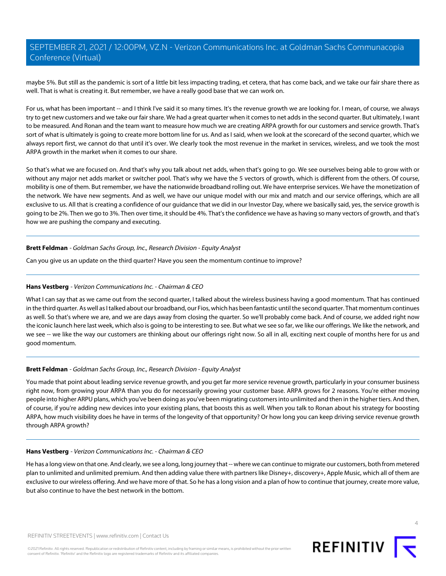maybe 5%. But still as the pandemic is sort of a little bit less impacting trading, et cetera, that has come back, and we take our fair share there as well. That is what is creating it. But remember, we have a really good base that we can work on.

For us, what has been important -- and I think I've said it so many times. It's the revenue growth we are looking for. I mean, of course, we always try to get new customers and we take our fair share. We had a great quarter when it comes to net adds in the second quarter. But ultimately, I want to be measured. And Ronan and the team want to measure how much we are creating ARPA growth for our customers and service growth. That's sort of what is ultimately is going to create more bottom line for us. And as I said, when we look at the scorecard of the second quarter, which we always report first, we cannot do that until it's over. We clearly took the most revenue in the market in services, wireless, and we took the most ARPA growth in the market when it comes to our share.

So that's what we are focused on. And that's why you talk about net adds, when that's going to go. We see ourselves being able to grow with or without any major net adds market or switcher pool. That's why we have the 5 vectors of growth, which is different from the others. Of course, mobility is one of them. But remember, we have the nationwide broadband rolling out. We have enterprise services. We have the monetization of the network. We have new segments. And as well, we have our unique model with our mix and match and our service offerings, which are all exclusive to us. All that is creating a confidence of our guidance that we did in our Investor Day, where we basically said, yes, the service growth is going to be 2%. Then we go to 3%. Then over time, it should be 4%. That's the confidence we have as having so many vectors of growth, and that's how we are pushing the company and executing.

# **Brett Feldman** - Goldman Sachs Group, Inc., Research Division - Equity Analyst

Can you give us an update on the third quarter? Have you seen the momentum continue to improve?

# **Hans Vestberg** - Verizon Communications Inc. - Chairman & CEO

What I can say that as we came out from the second quarter, I talked about the wireless business having a good momentum. That has continued in the third quarter. As well as I talked about our broadband, our Fios, which has been fantastic until the second quarter. That momentum continues as well. So that's where we are, and we are days away from closing the quarter. So we'll probably come back. And of course, we added right now the iconic launch here last week, which also is going to be interesting to see. But what we see so far, we like our offerings. We like the network, and we see -- we like the way our customers are thinking about our offerings right now. So all in all, exciting next couple of months here for us and good momentum.

# **Brett Feldman** - Goldman Sachs Group, Inc., Research Division - Equity Analyst

You made that point about leading service revenue growth, and you get far more service revenue growth, particularly in your consumer business right now, from growing your ARPA than you do for necessarily growing your customer base. ARPA grows for 2 reasons. You're either moving people into higher ARPU plans, which you've been doing as you've been migrating customers into unlimited and then in the higher tiers. And then, of course, if you're adding new devices into your existing plans, that boosts this as well. When you talk to Ronan about his strategy for boosting ARPA, how much visibility does he have in terms of the longevity of that opportunity? Or how long you can keep driving service revenue growth through ARPA growth?

# **Hans Vestberg** - Verizon Communications Inc. - Chairman & CEO

He has a long view on that one. And clearly, we see a long, long journey that -- where we can continue to migrate our customers, both from metered plan to unlimited and unlimited premium. And then adding value there with partners like Disney+, discovery+, Apple Music, which all of them are exclusive to our wireless offering. And we have more of that. So he has a long vision and a plan of how to continue that journey, create more value, but also continue to have the best network in the bottom.

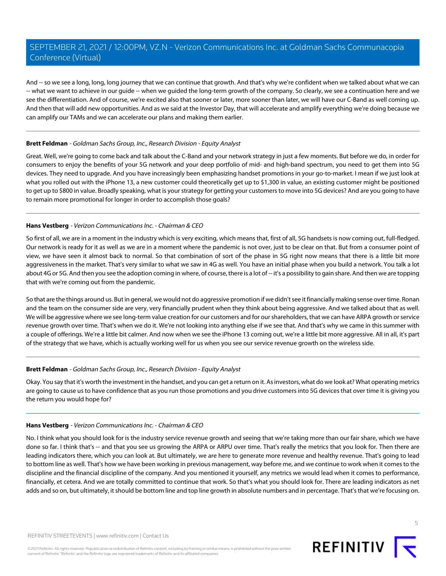And -- so we see a long, long, long journey that we can continue that growth. And that's why we're confident when we talked about what we can -- what we want to achieve in our guide -- when we guided the long-term growth of the company. So clearly, we see a continuation here and we see the differentiation. And of course, we're excited also that sooner or later, more sooner than later, we will have our C-Band as well coming up. And then that will add new opportunities. And as we said at the Investor Day, that will accelerate and amplify everything we're doing because we can amplify our TAMs and we can accelerate our plans and making them earlier.

#### **Brett Feldman** - Goldman Sachs Group, Inc., Research Division - Equity Analyst

Great. Well, we're going to come back and talk about the C-Band and your network strategy in just a few moments. But before we do, in order for consumers to enjoy the benefits of your 5G network and your deep portfolio of mid- and high-band spectrum, you need to get them into 5G devices. They need to upgrade. And you have increasingly been emphasizing handset promotions in your go-to-market. I mean if we just look at what you rolled out with the iPhone 13, a new customer could theoretically get up to \$1,300 in value, an existing customer might be positioned to get up to \$800 in value. Broadly speaking, what is your strategy for getting your customers to move into 5G devices? And are you going to have to remain more promotional for longer in order to accomplish those goals?

# **Hans Vestberg** - Verizon Communications Inc. - Chairman & CEO

So first of all, we are in a moment in the industry which is very exciting, which means that, first of all, 5G handsets is now coming out, full-fledged. Our network is ready for it as well as we are in a moment where the pandemic is not over, just to be clear on that. But from a consumer point of view, we have seen it almost back to normal. So that combination of sort of the phase in 5G right now means that there is a little bit more aggressiveness in the market. That's very similar to what we saw in 4G as well. You have an initial phase when you build a network. You talk a lot about 4G or 5G. And then you see the adoption coming in where, of course, there is a lot of -- it's a possibility to gain share. And then we are topping that with we're coming out from the pandemic.

So that are the things around us. But in general, we would not do aggressive promotion if we didn't see it financially making sense over time. Ronan and the team on the consumer side are very, very financially prudent when they think about being aggressive. And we talked about that as well. We will be aggressive where we see long-term value creation for our customers and for our shareholders, that we can have ARPA growth or service revenue growth over time. That's when we do it. We're not looking into anything else if we see that. And that's why we came in this summer with a couple of offerings. We're a little bit calmer. And now when we see the iPhone 13 coming out, we're a little bit more aggressive. All in all, it's part of the strategy that we have, which is actually working well for us when you see our service revenue growth on the wireless side.

# **Brett Feldman** - Goldman Sachs Group, Inc., Research Division - Equity Analyst

Okay. You say that it's worth the investment in the handset, and you can get a return on it. As investors, what do we look at? What operating metrics are going to cause us to have confidence that as you run those promotions and you drive customers into 5G devices that over time it is giving you the return you would hope for?

#### **Hans Vestberg** - Verizon Communications Inc. - Chairman & CEO

No. I think what you should look for is the industry service revenue growth and seeing that we're taking more than our fair share, which we have done so far. I think that's -- and that you see us growing the ARPA or ARPU over time. That's really the metrics that you look for. Then there are leading indicators there, which you can look at. But ultimately, we are here to generate more revenue and healthy revenue. That's going to lead to bottom line as well. That's how we have been working in previous management, way before me, and we continue to work when it comes to the discipline and the financial discipline of the company. And you mentioned it yourself, any metrics we would lead when it comes to performance, financially, et cetera. And we are totally committed to continue that work. So that's what you should look for. There are leading indicators as net adds and so on, but ultimately, it should be bottom line and top line growth in absolute numbers and in percentage. That's that we're focusing on.

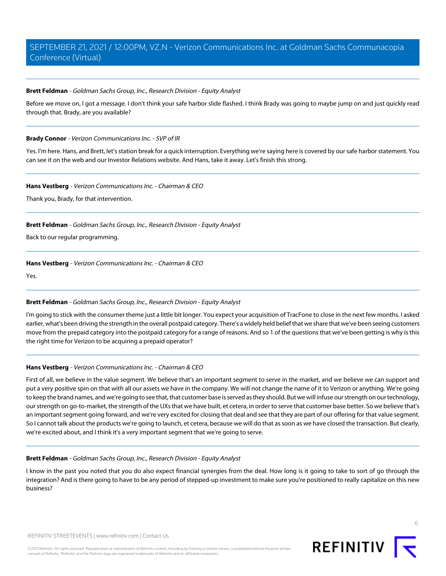#### **Brett Feldman** - Goldman Sachs Group, Inc., Research Division - Equity Analyst

Before we move on, I got a message. I don't think your safe harbor slide flashed. I think Brady was going to maybe jump on and just quickly read through that. Brady, are you available?

#### <span id="page-5-0"></span>**Brady Connor** - Verizon Communications Inc. - SVP of IR

Yes. I'm here. Hans, and Brett, let's station break for a quick interruption. Everything we're saying here is covered by our safe harbor statement. You can see it on the web and our Investor Relations website. And Hans, take it away. Let's finish this strong.

#### **Hans Vestberg** - Verizon Communications Inc. - Chairman & CEO

Thank you, Brady, for that intervention.

# **Brett Feldman** - Goldman Sachs Group, Inc., Research Division - Equity Analyst

Back to our regular programming.

#### **Hans Vestberg** - Verizon Communications Inc. - Chairman & CEO

Yes.

# **Brett Feldman** - Goldman Sachs Group, Inc., Research Division - Equity Analyst

I'm going to stick with the consumer theme just a little bit longer. You expect your acquisition of TracFone to close in the next few months. I asked earlier, what's been driving the strength in the overall postpaid category. There's a widely held belief that we share that we've been seeing customers move from the prepaid category into the postpaid category for a range of reasons. And so 1 of the questions that we've been getting is why is this the right time for Verizon to be acquiring a prepaid operator?

# **Hans Vestberg** - Verizon Communications Inc. - Chairman & CEO

First of all, we believe in the value segment. We believe that's an important segment to serve in the market, and we believe we can support and put a very positive spin on that with all our assets we have in the company. We will not change the name of it to Verizon or anything. We're going to keep the brand names, and we're going to see that, that customer base is served as they should. But we will infuse our strength on our technology, our strength on go-to-market, the strength of the UXs that we have built, et cetera, in order to serve that customer base better. So we believe that's an important segment going forward, and we're very excited for closing that deal and see that they are part of our offering for that value segment. So I cannot talk about the products we're going to launch, et cetera, because we will do that as soon as we have closed the transaction. But clearly, we're excited about, and I think it's a very important segment that we're going to serve.

#### **Brett Feldman** - Goldman Sachs Group, Inc., Research Division - Equity Analyst

I know in the past you noted that you do also expect financial synergies from the deal. How long is it going to take to sort of go through the integration? And is there going to have to be any period of stepped-up investment to make sure you're positioned to really capitalize on this new business?

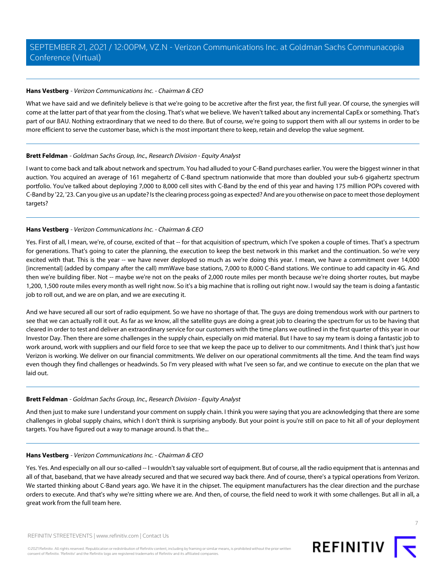# **Hans Vestberg** - Verizon Communications Inc. - Chairman & CEO

What we have said and we definitely believe is that we're going to be accretive after the first year, the first full year. Of course, the synergies will come at the latter part of that year from the closing. That's what we believe. We haven't talked about any incremental CapEx or something. That's part of our BAU. Nothing extraordinary that we need to do there. But of course, we're going to support them with all our systems in order to be more efficient to serve the customer base, which is the most important there to keep, retain and develop the value segment.

# **Brett Feldman** - Goldman Sachs Group, Inc., Research Division - Equity Analyst

I want to come back and talk about network and spectrum. You had alluded to your C-Band purchases earlier. You were the biggest winner in that auction. You acquired an average of 161 megahertz of C-Band spectrum nationwide that more than doubled your sub-6 gigahertz spectrum portfolio. You've talked about deploying 7,000 to 8,000 cell sites with C-Band by the end of this year and having 175 million POPs covered with C-Band by '22, '23. Can you give us an update? Is the clearing process going as expected? And are you otherwise on pace to meet those deployment targets?

# **Hans Vestberg** - Verizon Communications Inc. - Chairman & CEO

Yes. First of all, I mean, we're, of course, excited of that -- for that acquisition of spectrum, which I've spoken a couple of times. That's a spectrum for generations. That's going to cater the planning, the execution to keep the best network in this market and the continuation. So we're very excited with that. This is the year -- we have never deployed so much as we're doing this year. I mean, we have a commitment over 14,000 [incremental] (added by company after the call) mmWave base stations, 7,000 to 8,000 C-Band stations. We continue to add capacity in 4G. And then we're building fiber. Not -- maybe we're not on the peaks of 2,000 route miles per month because we're doing shorter routes, but maybe 1,200, 1,500 route miles every month as well right now. So it's a big machine that is rolling out right now. I would say the team is doing a fantastic job to roll out, and we are on plan, and we are executing it.

And we have secured all our sort of radio equipment. So we have no shortage of that. The guys are doing tremendous work with our partners to see that we can actually roll it out. As far as we know, all the satellite guys are doing a great job to clearing the spectrum for us to be having that cleared in order to test and deliver an extraordinary service for our customers with the time plans we outlined in the first quarter of this year in our Investor Day. Then there are some challenges in the supply chain, especially on mid material. But I have to say my team is doing a fantastic job to work around, work with suppliers and our field force to see that we keep the pace up to deliver to our commitments. And I think that's just how Verizon is working. We deliver on our financial commitments. We deliver on our operational commitments all the time. And the team find ways even though they find challenges or headwinds. So I'm very pleased with what I've seen so far, and we continue to execute on the plan that we laid out.

# **Brett Feldman** - Goldman Sachs Group, Inc., Research Division - Equity Analyst

And then just to make sure I understand your comment on supply chain. I think you were saying that you are acknowledging that there are some challenges in global supply chains, which I don't think is surprising anybody. But your point is you're still on pace to hit all of your deployment targets. You have figured out a way to manage around. Is that the...

# **Hans Vestberg** - Verizon Communications Inc. - Chairman & CEO

Yes. Yes. And especially on all our so-called -- I wouldn't say valuable sort of equipment. But of course, all the radio equipment that is antennas and all of that, baseband, that we have already secured and that we secured way back there. And of course, there's a typical operations from Verizon. We started thinking about C-Band years ago. We have it in the chipset. The equipment manufacturers has the clear direction and the purchase orders to execute. And that's why we're sitting where we are. And then, of course, the field need to work it with some challenges. But all in all, a great work from the full team here.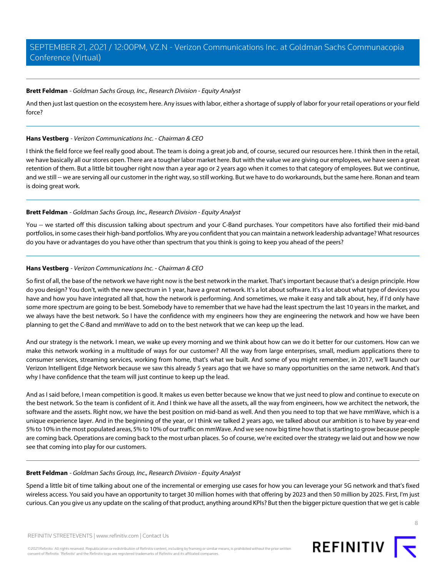#### **Brett Feldman** - Goldman Sachs Group, Inc., Research Division - Equity Analyst

And then just last question on the ecosystem here. Any issues with labor, either a shortage of supply of labor for your retail operations or your field force?

#### **Hans Vestberg** - Verizon Communications Inc. - Chairman & CEO

I think the field force we feel really good about. The team is doing a great job and, of course, secured our resources here. I think then in the retail, we have basically all our stores open. There are a tougher labor market here. But with the value we are giving our employees, we have seen a great retention of them. But a little bit tougher right now than a year ago or 2 years ago when it comes to that category of employees. But we continue, and we still -- we are serving all our customer in the right way, so still working. But we have to do workarounds, but the same here. Ronan and team is doing great work.

# **Brett Feldman** - Goldman Sachs Group, Inc., Research Division - Equity Analyst

You -- we started off this discussion talking about spectrum and your C-Band purchases. Your competitors have also fortified their mid-band portfolios, in some cases their high-band portfolios. Why are you confident that you can maintain a network leadership advantage? What resources do you have or advantages do you have other than spectrum that you think is going to keep you ahead of the peers?

# **Hans Vestberg** - Verizon Communications Inc. - Chairman & CEO

So first of all, the base of the network we have right now is the best network in the market. That's important because that's a design principle. How do you design? You don't, with the new spectrum in 1 year, have a great network. It's a lot about software. It's a lot about what type of devices you have and how you have integrated all that, how the network is performing. And sometimes, we make it easy and talk about, hey, if I'd only have some more spectrum are going to be best. Somebody have to remember that we have had the least spectrum the last 10 years in the market, and we always have the best network. So I have the confidence with my engineers how they are engineering the network and how we have been planning to get the C-Band and mmWave to add on to the best network that we can keep up the lead.

And our strategy is the network. I mean, we wake up every morning and we think about how can we do it better for our customers. How can we make this network working in a multitude of ways for our customer? All the way from large enterprises, small, medium applications there to consumer services, streaming services, working from home, that's what we built. And some of you might remember, in 2017, we'll launch our Verizon Intelligent Edge Network because we saw this already 5 years ago that we have so many opportunities on the same network. And that's why I have confidence that the team will just continue to keep up the lead.

And as I said before, I mean competition is good. It makes us even better because we know that we just need to plow and continue to execute on the best network. So the team is confident of it. And I think we have all the assets, all the way from engineers, how we architect the network, the software and the assets. Right now, we have the best position on mid-band as well. And then you need to top that we have mmWave, which is a unique experience layer. And in the beginning of the year, or I think we talked 2 years ago, we talked about our ambition is to have by year-end 5% to 10% in the most populated areas, 5% to 10% of our traffic on mmWave. And we see now big time how that is starting to grow because people are coming back. Operations are coming back to the most urban places. So of course, we're excited over the strategy we laid out and how we now see that coming into play for our customers.

#### **Brett Feldman** - Goldman Sachs Group, Inc., Research Division - Equity Analyst

Spend a little bit of time talking about one of the incremental or emerging use cases for how you can leverage your 5G network and that's fixed wireless access. You said you have an opportunity to target 30 million homes with that offering by 2023 and then 50 million by 2025. First, I'm just curious. Can you give us any update on the scaling of that product, anything around KPIs? But then the bigger picture question that we get is cable

©2021 Refinitiv. All rights reserved. Republication or redistribution of Refinitiv content, including by framing or similar means, is prohibited without the prior written consent of Refinitiv. 'Refinitiv' and the Refinitiv logo are registered trademarks of Refinitiv and its affiliated companies.

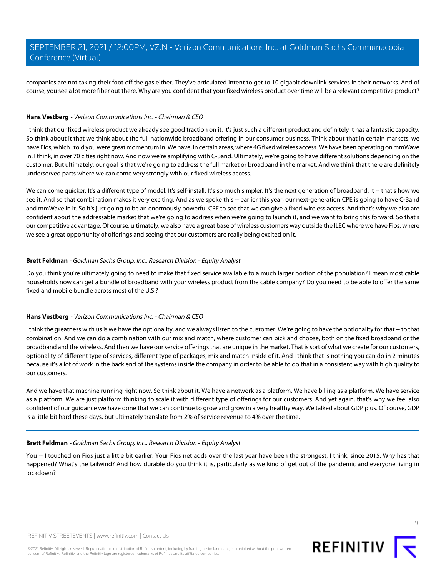companies are not taking their foot off the gas either. They've articulated intent to get to 10 gigabit downlink services in their networks. And of course, you see a lot more fiber out there. Why are you confident that your fixed wireless product over time will be a relevant competitive product?

#### **Hans Vestberg** - Verizon Communications Inc. - Chairman & CEO

I think that our fixed wireless product we already see good traction on it. It's just such a different product and definitely it has a fantastic capacity. So think about it that we think about the full nationwide broadband offering in our consumer business. Think about that in certain markets, we have Fios, which I told you were great momentum in. We have, in certain areas, where 4G fixed wireless access. We have been operating on mmWave in, I think, in over 70 cities right now. And now we're amplifying with C-Band. Ultimately, we're going to have different solutions depending on the customer. But ultimately, our goal is that we're going to address the full market or broadband in the market. And we think that there are definitely underserved parts where we can come very strongly with our fixed wireless access.

We can come quicker. It's a different type of model. It's self-install. It's so much simpler. It's the next generation of broadband. It -- that's how we see it. And so that combination makes it very exciting. And as we spoke this -- earlier this year, our next-generation CPE is going to have C-Band and mmWave in it. So it's just going to be an enormously powerful CPE to see that we can give a fixed wireless access. And that's why we also are confident about the addressable market that we're going to address when we're going to launch it, and we want to bring this forward. So that's our competitive advantage. Of course, ultimately, we also have a great base of wireless customers way outside the ILEC where we have Fios, where we see a great opportunity of offerings and seeing that our customers are really being excited on it.

# **Brett Feldman** - Goldman Sachs Group, Inc., Research Division - Equity Analyst

Do you think you're ultimately going to need to make that fixed service available to a much larger portion of the population? I mean most cable households now can get a bundle of broadband with your wireless product from the cable company? Do you need to be able to offer the same fixed and mobile bundle across most of the U.S.?

# **Hans Vestberg** - Verizon Communications Inc. - Chairman & CEO

I think the greatness with us is we have the optionality, and we always listen to the customer. We're going to have the optionality for that -- to that combination. And we can do a combination with our mix and match, where customer can pick and choose, both on the fixed broadband or the broadband and the wireless. And then we have our service offerings that are unique in the market. That is sort of what we create for our customers, optionality of different type of services, different type of packages, mix and match inside of it. And I think that is nothing you can do in 2 minutes because it's a lot of work in the back end of the systems inside the company in order to be able to do that in a consistent way with high quality to our customers.

And we have that machine running right now. So think about it. We have a network as a platform. We have billing as a platform. We have service as a platform. We are just platform thinking to scale it with different type of offerings for our customers. And yet again, that's why we feel also confident of our guidance we have done that we can continue to grow and grow in a very healthy way. We talked about GDP plus. Of course, GDP is a little bit hard these days, but ultimately translate from 2% of service revenue to 4% over the time.

#### **Brett Feldman** - Goldman Sachs Group, Inc., Research Division - Equity Analyst

You -- I touched on Fios just a little bit earlier. Your Fios net adds over the last year have been the strongest, I think, since 2015. Why has that happened? What's the tailwind? And how durable do you think it is, particularly as we kind of get out of the pandemic and everyone living in lockdown?

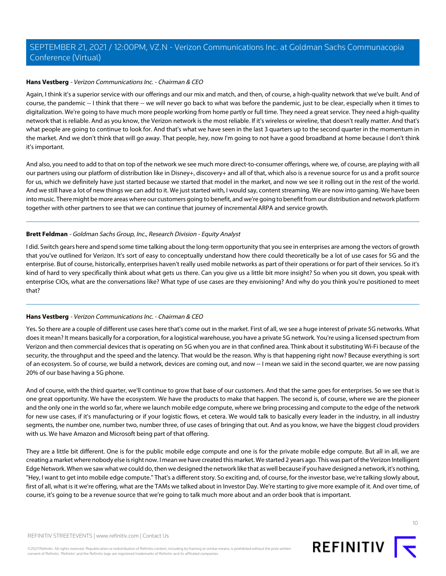#### **Hans Vestberg** - Verizon Communications Inc. - Chairman & CEO

Again, I think it's a superior service with our offerings and our mix and match, and then, of course, a high-quality network that we've built. And of course, the pandemic -- I think that there -- we will never go back to what was before the pandemic, just to be clear, especially when it times to digitalization. We're going to have much more people working from home partly or full time. They need a great service. They need a high-quality network that is reliable. And as you know, the Verizon network is the most reliable. If it's wireless or wireline, that doesn't really matter. And that's what people are going to continue to look for. And that's what we have seen in the last 3 quarters up to the second quarter in the momentum in the market. And we don't think that will go away. That people, hey, now I'm going to not have a good broadband at home because I don't think it's important.

And also, you need to add to that on top of the network we see much more direct-to-consumer offerings, where we, of course, are playing with all our partners using our platform of distribution like in Disney+, discovery+ and all of that, which also is a revenue source for us and a profit source for us, which we definitely have just started because we started that model in the market, and now we see it rolling out in the rest of the world. And we still have a lot of new things we can add to it. We just started with, I would say, content streaming. We are now into gaming. We have been into music. There might be more areas where our customers going to benefit, and we're going to benefit from our distribution and network platform together with other partners to see that we can continue that journey of incremental ARPA and service growth.

#### **Brett Feldman** - Goldman Sachs Group, Inc., Research Division - Equity Analyst

I did. Switch gears here and spend some time talking about the long-term opportunity that you see in enterprises are among the vectors of growth that you've outlined for Verizon. It's sort of easy to conceptually understand how there could theoretically be a lot of use cases for 5G and the enterprise. But of course, historically, enterprises haven't really used mobile networks as part of their operations or for part of their services. So it's kind of hard to very specifically think about what gets us there. Can you give us a little bit more insight? So when you sit down, you speak with enterprise CIOs, what are the conversations like? What type of use cases are they envisioning? And why do you think you're positioned to meet that?

#### **Hans Vestberg** - Verizon Communications Inc. - Chairman & CEO

Yes. So there are a couple of different use cases here that's come out in the market. First of all, we see a huge interest of private 5G networks. What does it mean? It means basically for a corporation, for a logistical warehouse, you have a private 5G network. You're using a licensed spectrum from Verizon and then commercial devices that is operating on 5G when you are in that confined area. Think about it substituting Wi-Fi because of the security, the throughput and the speed and the latency. That would be the reason. Why is that happening right now? Because everything is sort of an ecosystem. So of course, we build a network, devices are coming out, and now -- I mean we said in the second quarter, we are now passing 20% of our base having a 5G phone.

And of course, with the third quarter, we'll continue to grow that base of our customers. And that the same goes for enterprises. So we see that is one great opportunity. We have the ecosystem. We have the products to make that happen. The second is, of course, where we are the pioneer and the only one in the world so far, where we launch mobile edge compute, where we bring processing and compute to the edge of the network for new use cases, if it's manufacturing or if your logistic flows, et cetera. We would talk to basically every leader in the industry, in all industry segments, the number one, number two, number three, of use cases of bringing that out. And as you know, we have the biggest cloud providers with us. We have Amazon and Microsoft being part of that offering.

They are a little bit different. One is for the public mobile edge compute and one is for the private mobile edge compute. But all in all, we are creating a market where nobody else is right now. I mean we have created this market. We started 2 years ago. This was part of the Verizon Intelligent Edge Network. When we saw what we could do, then we designed the network like that as well because if you have designed a network, it's nothing, "Hey, I want to get into mobile edge compute." That's a different story. So exciting and, of course, for the investor base, we're talking slowly about, first of all, what is it we're offering, what are the TAMs we talked about in Investor Day. We're starting to give more example of it. And over time, of course, it's going to be a revenue source that we're going to talk much more about and an order book that is important.

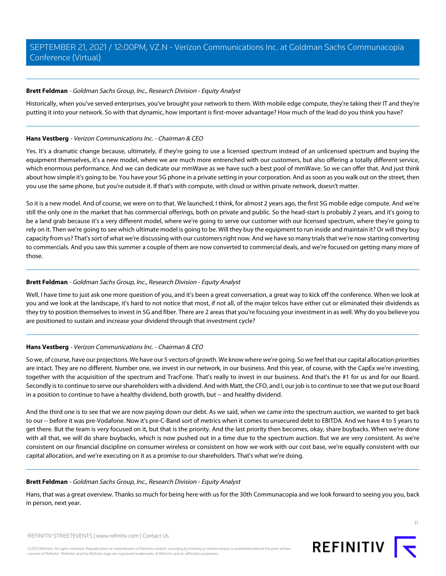# **Brett Feldman** - Goldman Sachs Group, Inc., Research Division - Equity Analyst

Historically, when you've served enterprises, you've brought your network to them. With mobile edge compute, they're taking their IT and they're putting it into your network. So with that dynamic, how important is first-mover advantage? How much of the lead do you think you have?

# **Hans Vestberg** - Verizon Communications Inc. - Chairman & CEO

Yes. It's a dramatic change because, ultimately, if they're going to use a licensed spectrum instead of an unlicensed spectrum and buying the equipment themselves, it's a new model, where we are much more entrenched with our customers, but also offering a totally different service, which enormous performance. And we can dedicate our mmWave as we have such a best pool of mmWave. So we can offer that. And just think about how simple it's going to be. You have your 5G phone in a private setting in your corporation. And as soon as you walk out on the street, then you use the same phone, but you're outside it. If that's with compute, with cloud or within private network, doesn't matter.

So it is a new model. And of course, we were on to that. We launched, I think, for almost 2 years ago, the first 5G mobile edge compute. And we're still the only one in the market that has commercial offerings, both on private and public. So the head-start is probably 2 years, and it's going to be a land grab because it's a very different model, where we're going to serve our customer with our licensed spectrum, where they're going to rely on it. Then we're going to see which ultimate model is going to be. Will they buy the equipment to run inside and maintain it? Or will they buy capacity from us? That's sort of what we're discussing with our customers right now. And we have so many trials that we're now starting converting to commercials. And you saw this summer a couple of them are now converted to commercial deals, and we're focused on getting many more of those.

# **Brett Feldman** - Goldman Sachs Group, Inc., Research Division - Equity Analyst

Well, I have time to just ask one more question of you, and it's been a great conversation, a great way to kick off the conference. When we look at you and we look at the landscape, it's hard to not notice that most, if not all, of the major telcos have either cut or eliminated their dividends as they try to position themselves to invest in 5G and fiber. There are 2 areas that you're focusing your investment in as well. Why do you believe you are positioned to sustain and increase your dividend through that investment cycle?

# **Hans Vestberg** - Verizon Communications Inc. - Chairman & CEO

So we, of course, have our projections. We have our 5 vectors of growth. We know where we're going. So we feel that our capital allocation priorities are intact. They are no different. Number one, we invest in our network, in our business. And this year, of course, with the CapEx we're investing, together with the acquisition of the spectrum and TracFone. That's really to invest in our business. And that's the #1 for us and for our Board. Secondly is to continue to serve our shareholders with a dividend. And with Matt, the CFO, and I, our job is to continue to see that we put our Board in a position to continue to have a healthy dividend, both growth, but -- and healthy dividend.

And the third one is to see that we are now paying down our debt. As we said, when we came into the spectrum auction, we wanted to get back to our -- before it was pre-Vodafone. Now it's pre-C-Band sort of metrics when it comes to unsecured debt to EBITDA. And we have 4 to 5 years to get there. But the team is very focused on it, but that is the priority. And the last priority then becomes, okay, share buybacks. When we're done with all that, we will do share buybacks, which is now pushed out in a time due to the spectrum auction. But we are very consistent. As we're consistent on our financial discipline on consumer wireless or consistent on how we work with our cost base, we're equally consistent with our capital allocation, and we're executing on it as a promise to our shareholders. That's what we're doing.

#### **Brett Feldman** - Goldman Sachs Group, Inc., Research Division - Equity Analyst

Hans, that was a great overview. Thanks so much for being here with us for the 30th Communacopia and we look forward to seeing you you, back in person, next year.